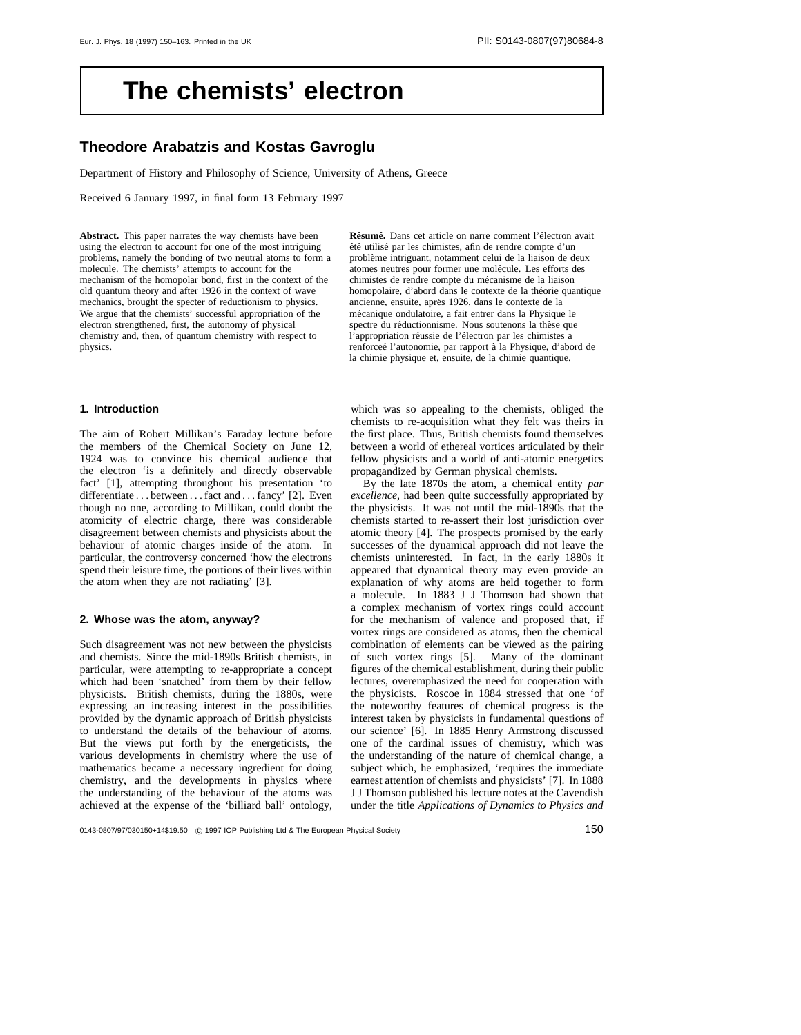# **The chemists' electron**

# **Theodore Arabatzis and Kostas Gavroglu**

Department of History and Philosophy of Science, University of Athens, Greece

Received 6 January 1997, in final form 13 February 1997

**Abstract.** This paper narrates the way chemists have been using the electron to account for one of the most intriguing problems, namely the bonding of two neutral atoms to form a molecule. The chemists' attempts to account for the mechanism of the homopolar bond, first in the context of the old quantum theory and after 1926 in the context of wave mechanics, brought the specter of reductionism to physics. We argue that the chemists' successful appropriation of the electron strengthened, first, the autonomy of physical chemistry and, then, of quantum chemistry with respect to physics.

# **1. Introduction**

The aim of Robert Millikan's Faraday lecture before the members of the Chemical Society on June 12, 1924 was to convince his chemical audience that the electron 'is a definitely and directly observable fact' [1], attempting throughout his presentation 'to differentiate *...* between *...*fact and *...*fancy' [2]. Even though no one, according to Millikan, could doubt the atomicity of electric charge, there was considerable disagreement between chemists and physicists about the behaviour of atomic charges inside of the atom. In particular, the controversy concerned 'how the electrons spend their leisure time, the portions of their lives within the atom when they are not radiating' [3].

#### **2. Whose was the atom, anyway?**

Such disagreement was not new between the physicists and chemists. Since the mid-1890s British chemists, in particular, were attempting to re-appropriate a concept which had been 'snatched' from them by their fellow physicists. British chemists, during the 1880s, were expressing an increasing interest in the possibilities provided by the dynamic approach of British physicists to understand the details of the behaviour of atoms. But the views put forth by the energeticists, the various developments in chemistry where the use of mathematics became a necessary ingredient for doing chemistry, and the developments in physics where the understanding of the behaviour of the atoms was achieved at the expense of the 'billiard ball' ontology, **Résumé.** Dans cet article on narre comment l'électron avait été utilisé par les chimistes, afin de rendre compte d'un probleme intriguant, notamment celui de la liaison de deux ` atomes neutres pour former une molecule. Les efforts des ´ chimistes de rendre compte du mecanisme de la liaison ´ homopolaire, d'abord dans le contexte de la théorie quantique ancienne, ensuite, aprés 1926, dans le contexte de la mecanique ondulatoire, a fait entrer dans la Physique le ´ spectre du réductionnisme. Nous soutenons la thèse que l'appropriation réussie de l'électron par les chimistes a renforceé l'autonomie, par rapport à la Physique, d'abord de la chimie physique et, ensuite, de la chimie quantique.

which was so appealing to the chemists, obliged the chemists to re-acquisition what they felt was theirs in the first place. Thus, British chemists found themselves between a world of ethereal vortices articulated by their fellow physicists and a world of anti-atomic energetics propagandized by German physical chemists.

By the late 1870s the atom, a chemical entity *par excellence*, had been quite successfully appropriated by the physicists. It was not until the mid-1890s that the chemists started to re-assert their lost jurisdiction over atomic theory [4]. The prospects promised by the early successes of the dynamical approach did not leave the chemists uninterested. In fact, in the early 1880s it appeared that dynamical theory may even provide an explanation of why atoms are held together to form a molecule. In 1883 J J Thomson had shown that a complex mechanism of vortex rings could account for the mechanism of valence and proposed that, if vortex rings are considered as atoms, then the chemical combination of elements can be viewed as the pairing of such vortex rings [5]. Many of the dominant figures of the chemical establishment, during their public lectures, overemphasized the need for cooperation with the physicists. Roscoe in 1884 stressed that one 'of the noteworthy features of chemical progress is the interest taken by physicists in fundamental questions of our science' [6]. In 1885 Henry Armstrong discussed one of the cardinal issues of chemistry, which was the understanding of the nature of chemical change, a subject which, he emphasized, 'requires the immediate earnest attention of chemists and physicists' [7]. In 1888 J J Thomson published his lecture notes at the Cavendish under the title *Applications of Dynamics to Physics and*

0143-0807/97/030150+14\$19.50 <sup>c</sup> 1997 IOP Publishing Ltd & The European Physical Society 150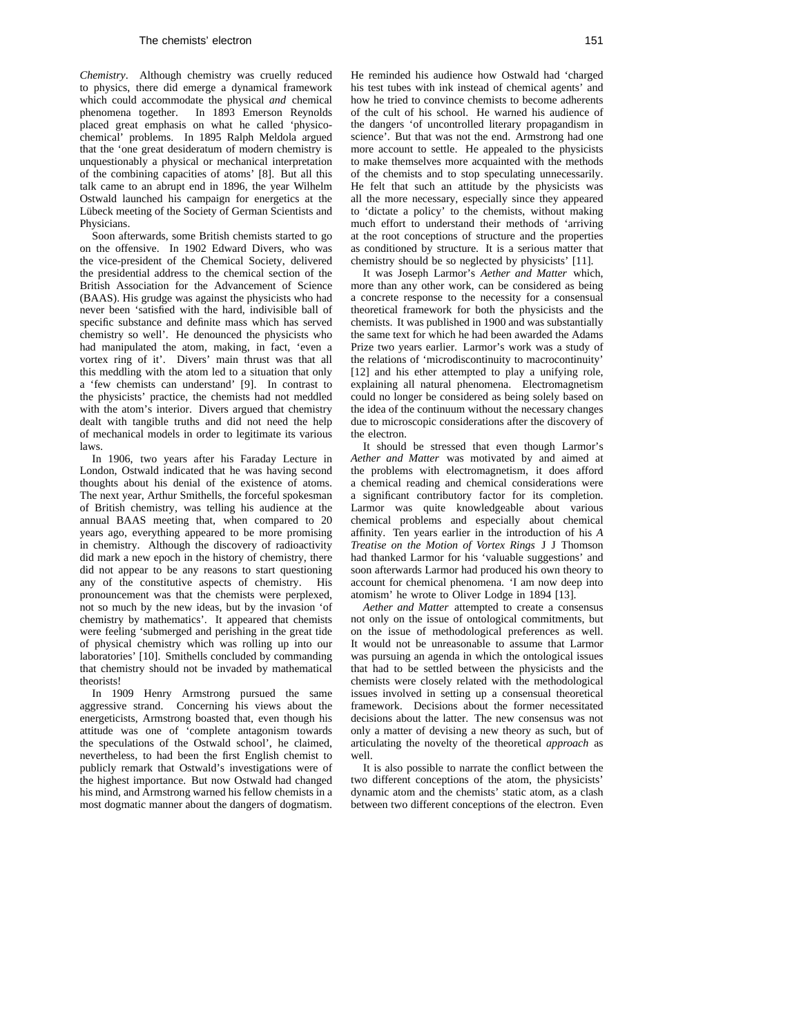*Chemistry*. Although chemistry was cruelly reduced to physics, there did emerge a dynamical framework which could accommodate the physical *and* chemical phenomena together. In 1893 Emerson Reynolds placed great emphasis on what he called 'physicochemical' problems. In 1895 Ralph Meldola argued that the 'one great desideratum of modern chemistry is unquestionably a physical or mechanical interpretation of the combining capacities of atoms' [8]. But all this talk came to an abrupt end in 1896, the year Wilhelm Ostwald launched his campaign for energetics at the Lübeck meeting of the Society of German Scientists and Physicians.

Soon afterwards, some British chemists started to go on the offensive. In 1902 Edward Divers, who was the vice-president of the Chemical Society, delivered the presidential address to the chemical section of the British Association for the Advancement of Science (BAAS). His grudge was against the physicists who had never been 'satisfied with the hard, indivisible ball of specific substance and definite mass which has served chemistry so well'. He denounced the physicists who had manipulated the atom, making, in fact, 'even a vortex ring of it'. Divers' main thrust was that all this meddling with the atom led to a situation that only a 'few chemists can understand' [9]. In contrast to the physicists' practice, the chemists had not meddled with the atom's interior. Divers argued that chemistry dealt with tangible truths and did not need the help of mechanical models in order to legitimate its various laws.

In 1906, two years after his Faraday Lecture in London, Ostwald indicated that he was having second thoughts about his denial of the existence of atoms. The next year, Arthur Smithells, the forceful spokesman of British chemistry, was telling his audience at the annual BAAS meeting that, when compared to 20 years ago, everything appeared to be more promising in chemistry. Although the discovery of radioactivity did mark a new epoch in the history of chemistry, there did not appear to be any reasons to start questioning any of the constitutive aspects of chemistry. His pronouncement was that the chemists were perplexed, not so much by the new ideas, but by the invasion 'of chemistry by mathematics'. It appeared that chemists were feeling 'submerged and perishing in the great tide of physical chemistry which was rolling up into our laboratories' [10]. Smithells concluded by commanding that chemistry should not be invaded by mathematical theorists!

In 1909 Henry Armstrong pursued the same aggressive strand. Concerning his views about the energeticists, Armstrong boasted that, even though his attitude was one of 'complete antagonism towards the speculations of the Ostwald school', he claimed, nevertheless, to had been the first English chemist to publicly remark that Ostwald's investigations were of the highest importance. But now Ostwald had changed his mind, and Armstrong warned his fellow chemists in a most dogmatic manner about the dangers of dogmatism. He reminded his audience how Ostwald had 'charged his test tubes with ink instead of chemical agents' and how he tried to convince chemists to become adherents of the cult of his school. He warned his audience of the dangers 'of uncontrolled literary propagandism in science'. But that was not the end. Armstrong had one more account to settle. He appealed to the physicists to make themselves more acquainted with the methods of the chemists and to stop speculating unnecessarily. He felt that such an attitude by the physicists was all the more necessary, especially since they appeared to 'dictate a policy' to the chemists, without making much effort to understand their methods of 'arriving at the root conceptions of structure and the properties as conditioned by structure. It is a serious matter that chemistry should be so neglected by physicists' [11].

It was Joseph Larmor's *Aether and Matter* which, more than any other work, can be considered as being a concrete response to the necessity for a consensual theoretical framework for both the physicists and the chemists. It was published in 1900 and was substantially the same text for which he had been awarded the Adams Prize two years earlier. Larmor's work was a study of the relations of 'microdiscontinuity to macrocontinuity' [12] and his ether attempted to play a unifying role, explaining all natural phenomena. Electromagnetism could no longer be considered as being solely based on the idea of the continuum without the necessary changes due to microscopic considerations after the discovery of the electron.

It should be stressed that even though Larmor's *Aether and Matter* was motivated by and aimed at the problems with electromagnetism, it does afford a chemical reading and chemical considerations were a significant contributory factor for its completion. Larmor was quite knowledgeable about various chemical problems and especially about chemical affinity. Ten years earlier in the introduction of his *A Treatise on the Motion of Vortex Rings* J J Thomson had thanked Larmor for his 'valuable suggestions' and soon afterwards Larmor had produced his own theory to account for chemical phenomena. 'I am now deep into atomism' he wrote to Oliver Lodge in 1894 [13].

*Aether and Matter* attempted to create a consensus not only on the issue of ontological commitments, but on the issue of methodological preferences as well. It would not be unreasonable to assume that Larmor was pursuing an agenda in which the ontological issues that had to be settled between the physicists and the chemists were closely related with the methodological issues involved in setting up a consensual theoretical framework. Decisions about the former necessitated decisions about the latter. The new consensus was not only a matter of devising a new theory as such, but of articulating the novelty of the theoretical *approach* as well.

It is also possible to narrate the conflict between the two different conceptions of the atom, the physicists' dynamic atom and the chemists' static atom, as a clash between two different conceptions of the electron. Even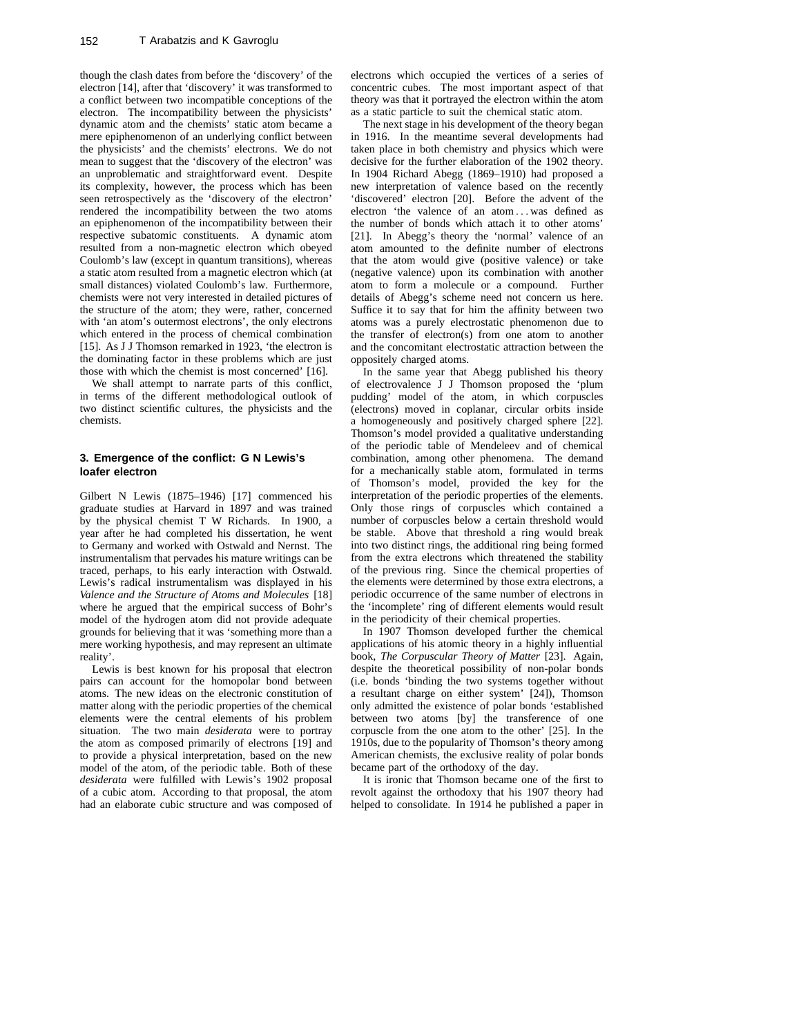though the clash dates from before the 'discovery' of the electron [14], after that 'discovery' it was transformed to a conflict between two incompatible conceptions of the electron. The incompatibility between the physicists' dynamic atom and the chemists' static atom became a mere epiphenomenon of an underlying conflict between the physicists' and the chemists' electrons. We do not mean to suggest that the 'discovery of the electron' was an unproblematic and straightforward event. Despite its complexity, however, the process which has been seen retrospectively as the 'discovery of the electron' rendered the incompatibility between the two atoms an epiphenomenon of the incompatibility between their respective subatomic constituents. A dynamic atom resulted from a non-magnetic electron which obeyed Coulomb's law (except in quantum transitions), whereas a static atom resulted from a magnetic electron which (at small distances) violated Coulomb's law. Furthermore, chemists were not very interested in detailed pictures of the structure of the atom; they were, rather, concerned with 'an atom's outermost electrons', the only electrons which entered in the process of chemical combination [15]. As J J Thomson remarked in 1923, 'the electron is the dominating factor in these problems which are just those with which the chemist is most concerned' [16].

We shall attempt to narrate parts of this conflict, in terms of the different methodological outlook of two distinct scientific cultures, the physicists and the chemists.

# **3. Emergence of the conflict: G N Lewis's loafer electron**

Gilbert N Lewis (1875–1946) [17] commenced his graduate studies at Harvard in 1897 and was trained by the physical chemist T W Richards. In 1900, a year after he had completed his dissertation, he went to Germany and worked with Ostwald and Nernst. The instrumentalism that pervades his mature writings can be traced, perhaps, to his early interaction with Ostwald. Lewis's radical instrumentalism was displayed in his *Valence and the Structure of Atoms and Molecules* [18] where he argued that the empirical success of Bohr's model of the hydrogen atom did not provide adequate grounds for believing that it was 'something more than a mere working hypothesis, and may represent an ultimate reality'.

Lewis is best known for his proposal that electron pairs can account for the homopolar bond between atoms. The new ideas on the electronic constitution of matter along with the periodic properties of the chemical elements were the central elements of his problem situation. The two main *desiderata* were to portray the atom as composed primarily of electrons [19] and to provide a physical interpretation, based on the new model of the atom, of the periodic table. Both of these *desiderata* were fulfilled with Lewis's 1902 proposal of a cubic atom. According to that proposal, the atom had an elaborate cubic structure and was composed of electrons which occupied the vertices of a series of concentric cubes. The most important aspect of that theory was that it portrayed the electron within the atom as a static particle to suit the chemical static atom.

The next stage in his development of the theory began in 1916. In the meantime several developments had taken place in both chemistry and physics which were decisive for the further elaboration of the 1902 theory. In 1904 Richard Abegg (1869–1910) had proposed a new interpretation of valence based on the recently 'discovered' electron [20]. Before the advent of the electron 'the valence of an atom *...* was defined as the number of bonds which attach it to other atoms' [21]. In Abegg's theory the 'normal' valence of an atom amounted to the definite number of electrons that the atom would give (positive valence) or take (negative valence) upon its combination with another atom to form a molecule or a compound. Further details of Abegg's scheme need not concern us here. Suffice it to say that for him the affinity between two atoms was a purely electrostatic phenomenon due to the transfer of electron(s) from one atom to another and the concomitant electrostatic attraction between the oppositely charged atoms.

In the same year that Abegg published his theory of electrovalence J J Thomson proposed the 'plum pudding' model of the atom, in which corpuscles (electrons) moved in coplanar, circular orbits inside a homogeneously and positively charged sphere [22]. Thomson's model provided a qualitative understanding of the periodic table of Mendeleev and of chemical combination, among other phenomena. The demand for a mechanically stable atom, formulated in terms of Thomson's model, provided the key for the interpretation of the periodic properties of the elements. Only those rings of corpuscles which contained a number of corpuscles below a certain threshold would be stable. Above that threshold a ring would break into two distinct rings, the additional ring being formed from the extra electrons which threatened the stability of the previous ring. Since the chemical properties of the elements were determined by those extra electrons, a periodic occurrence of the same number of electrons in the 'incomplete' ring of different elements would result in the periodicity of their chemical properties.

In 1907 Thomson developed further the chemical applications of his atomic theory in a highly influential book, *The Corpuscular Theory of Matter* [23]. Again, despite the theoretical possibility of non-polar bonds (i.e. bonds 'binding the two systems together without a resultant charge on either system' [24]), Thomson only admitted the existence of polar bonds 'established between two atoms [by] the transference of one corpuscle from the one atom to the other' [25]. In the 1910s, due to the popularity of Thomson's theory among American chemists, the exclusive reality of polar bonds became part of the orthodoxy of the day.

It is ironic that Thomson became one of the first to revolt against the orthodoxy that his 1907 theory had helped to consolidate. In 1914 he published a paper in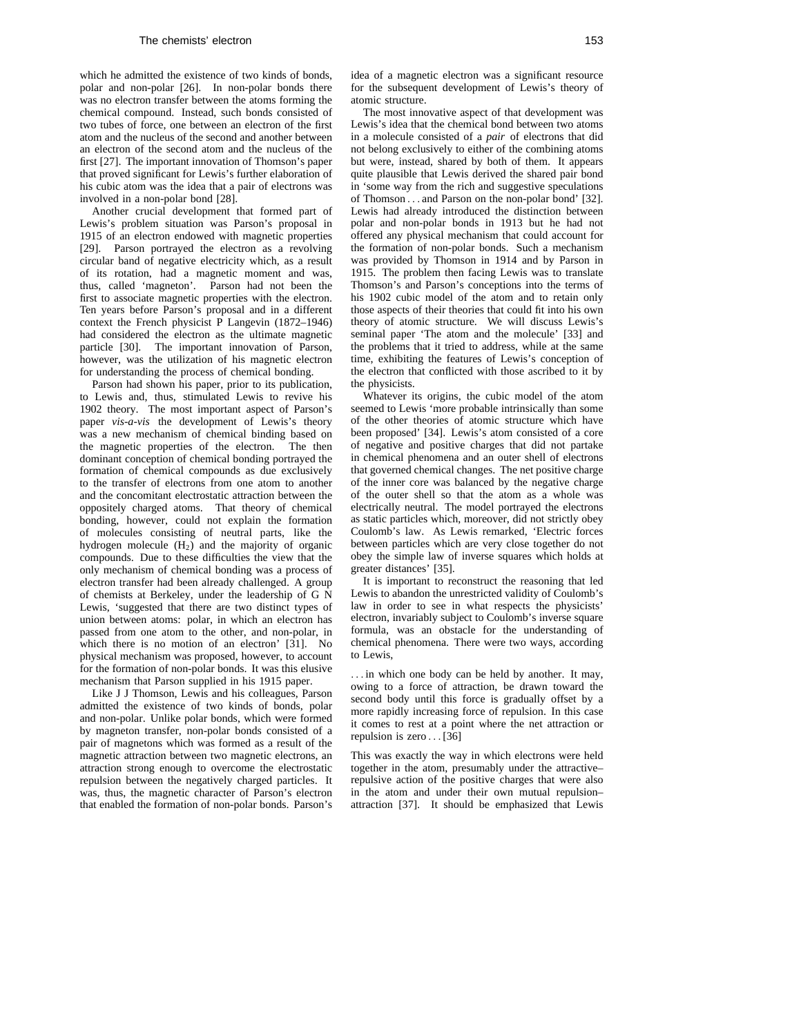which he admitted the existence of two kinds of bonds, polar and non-polar [26]. In non-polar bonds there was no electron transfer between the atoms forming the chemical compound. Instead, such bonds consisted of two tubes of force, one between an electron of the first atom and the nucleus of the second and another between an electron of the second atom and the nucleus of the first [27]. The important innovation of Thomson's paper that proved significant for Lewis's further elaboration of his cubic atom was the idea that a pair of electrons was involved in a non-polar bond [28].

Another crucial development that formed part of Lewis's problem situation was Parson's proposal in 1915 of an electron endowed with magnetic properties [29]. Parson portrayed the electron as a revolving circular band of negative electricity which, as a result of its rotation, had a magnetic moment and was, thus, called 'magneton'. Parson had not been the first to associate magnetic properties with the electron. Ten years before Parson's proposal and in a different context the French physicist P Langevin (1872–1946) had considered the electron as the ultimate magnetic particle [30]. The important innovation of Parson, however, was the utilization of his magnetic electron for understanding the process of chemical bonding.

Parson had shown his paper, prior to its publication, to Lewis and, thus, stimulated Lewis to revive his 1902 theory. The most important aspect of Parson's paper *vis-a-vis* the development of Lewis's theory was a new mechanism of chemical binding based on the magnetic properties of the electron. The then dominant conception of chemical bonding portrayed the formation of chemical compounds as due exclusively to the transfer of electrons from one atom to another and the concomitant electrostatic attraction between the oppositely charged atoms. That theory of chemical bonding, however, could not explain the formation of molecules consisting of neutral parts, like the hydrogen molecule  $(H<sub>2</sub>)$  and the majority of organic compounds. Due to these difficulties the view that the only mechanism of chemical bonding was a process of electron transfer had been already challenged. A group of chemists at Berkeley, under the leadership of G N Lewis, 'suggested that there are two distinct types of union between atoms: polar, in which an electron has passed from one atom to the other, and non-polar, in which there is no motion of an electron' [31]. No physical mechanism was proposed, however, to account for the formation of non-polar bonds. It was this elusive mechanism that Parson supplied in his 1915 paper.

Like J J Thomson, Lewis and his colleagues, Parson admitted the existence of two kinds of bonds, polar and non-polar. Unlike polar bonds, which were formed by magneton transfer, non-polar bonds consisted of a pair of magnetons which was formed as a result of the magnetic attraction between two magnetic electrons, an attraction strong enough to overcome the electrostatic repulsion between the negatively charged particles. It was, thus, the magnetic character of Parson's electron that enabled the formation of non-polar bonds. Parson's idea of a magnetic electron was a significant resource for the subsequent development of Lewis's theory of atomic structure.

The most innovative aspect of that development was Lewis's idea that the chemical bond between two atoms in a molecule consisted of a *pair* of electrons that did not belong exclusively to either of the combining atoms but were, instead, shared by both of them. It appears quite plausible that Lewis derived the shared pair bond in 'some way from the rich and suggestive speculations of Thomson *...* and Parson on the non-polar bond' [32]. Lewis had already introduced the distinction between polar and non-polar bonds in 1913 but he had not offered any physical mechanism that could account for the formation of non-polar bonds. Such a mechanism was provided by Thomson in 1914 and by Parson in 1915. The problem then facing Lewis was to translate Thomson's and Parson's conceptions into the terms of his 1902 cubic model of the atom and to retain only those aspects of their theories that could fit into his own theory of atomic structure. We will discuss Lewis's seminal paper 'The atom and the molecule' [33] and the problems that it tried to address, while at the same time, exhibiting the features of Lewis's conception of the electron that conflicted with those ascribed to it by the physicists.

Whatever its origins, the cubic model of the atom seemed to Lewis 'more probable intrinsically than some of the other theories of atomic structure which have been proposed' [34]. Lewis's atom consisted of a core of negative and positive charges that did not partake in chemical phenomena and an outer shell of electrons that governed chemical changes. The net positive charge of the inner core was balanced by the negative charge of the outer shell so that the atom as a whole was electrically neutral. The model portrayed the electrons as static particles which, moreover, did not strictly obey Coulomb's law. As Lewis remarked, 'Electric forces between particles which are very close together do not obey the simple law of inverse squares which holds at greater distances' [35].

It is important to reconstruct the reasoning that led Lewis to abandon the unrestricted validity of Coulomb's law in order to see in what respects the physicists' electron, invariably subject to Coulomb's inverse square formula, was an obstacle for the understanding of chemical phenomena. There were two ways, according to Lewis,

*...* in which one body can be held by another. It may, owing to a force of attraction, be drawn toward the second body until this force is gradually offset by a more rapidly increasing force of repulsion. In this case it comes to rest at a point where the net attraction or repulsion is zero *...*[36]

This was exactly the way in which electrons were held together in the atom, presumably under the attractive– repulsive action of the positive charges that were also in the atom and under their own mutual repulsion– attraction [37]. It should be emphasized that Lewis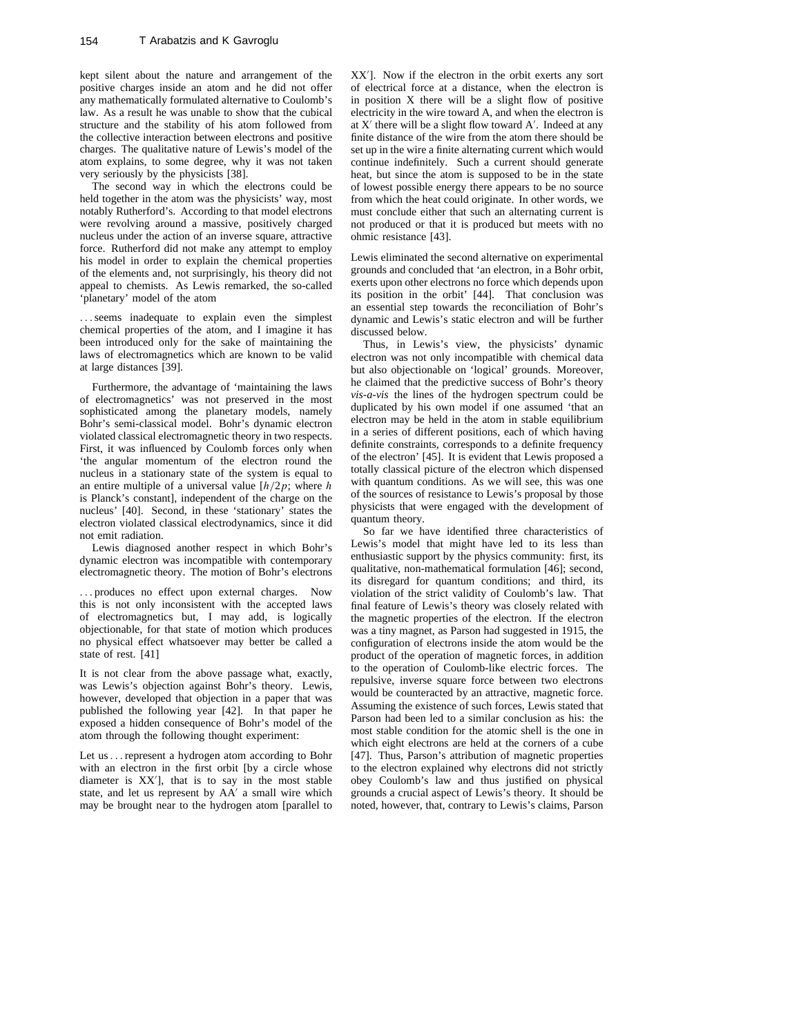kept silent about the nature and arrangement of the positive charges inside an atom and he did not offer any mathematically formulated alternative to Coulomb's law. As a result he was unable to show that the cubical structure and the stability of his atom followed from the collective interaction between electrons and positive charges. The qualitative nature of Lewis's model of the atom explains, to some degree, why it was not taken very seriously by the physicists [38].

The second way in which the electrons could be held together in the atom was the physicists' way, most notably Rutherford's. According to that model electrons were revolving around a massive, positively charged nucleus under the action of an inverse square, attractive force. Rutherford did not make any attempt to employ his model in order to explain the chemical properties of the elements and, not surprisingly, his theory did not appeal to chemists. As Lewis remarked, the so-called 'planetary' model of the atom

*...*seems inadequate to explain even the simplest chemical properties of the atom, and I imagine it has been introduced only for the sake of maintaining the laws of electromagnetics which are known to be valid at large distances [39].

Furthermore, the advantage of 'maintaining the laws of electromagnetics' was not preserved in the most sophisticated among the planetary models, namely Bohr's semi-classical model. Bohr's dynamic electron violated classical electromagnetic theory in two respects. First, it was influenced by Coulomb forces only when 'the angular momentum of the electron round the nucleus in a stationary state of the system is equal to an entire multiple of a universal value [*h/*2*p*; where *h* is Planck's constant], independent of the charge on the nucleus' [40]. Second, in these 'stationary' states the electron violated classical electrodynamics, since it did not emit radiation.

Lewis diagnosed another respect in which Bohr's dynamic electron was incompatible with contemporary electromagnetic theory. The motion of Bohr's electrons

*...* produces no effect upon external charges. Now this is not only inconsistent with the accepted laws of electromagnetics but, I may add, is logically objectionable, for that state of motion which produces no physical effect whatsoever may better be called a state of rest. [41]

It is not clear from the above passage what, exactly, was Lewis's objection against Bohr's theory. Lewis, however, developed that objection in a paper that was published the following year [42]. In that paper he exposed a hidden consequence of Bohr's model of the atom through the following thought experiment:

Let us*...*represent a hydrogen atom according to Bohr with an electron in the first orbit [by a circle whose diameter is  $XX'$ ], that is to say in the most stable state, and let us represent by AA' a small wire which may be brought near to the hydrogen atom [parallel to

XX']. Now if the electron in the orbit exerts any sort of electrical force at a distance, when the electron is in position X there will be a slight flow of positive electricity in the wire toward A, and when the electron is at  $X'$  there will be a slight flow toward  $A'$ . Indeed at any finite distance of the wire from the atom there should be set up in the wire a finite alternating current which would continue indefinitely. Such a current should generate heat, but since the atom is supposed to be in the state of lowest possible energy there appears to be no source from which the heat could originate. In other words, we must conclude either that such an alternating current is not produced or that it is produced but meets with no ohmic resistance [43].

Lewis eliminated the second alternative on experimental grounds and concluded that 'an electron, in a Bohr orbit, exerts upon other electrons no force which depends upon its position in the orbit' [44]. That conclusion was an essential step towards the reconciliation of Bohr's dynamic and Lewis's static electron and will be further discussed below.

Thus, in Lewis's view, the physicists' dynamic electron was not only incompatible with chemical data but also objectionable on 'logical' grounds. Moreover, he claimed that the predictive success of Bohr's theory *vis-a-vis* the lines of the hydrogen spectrum could be duplicated by his own model if one assumed 'that an electron may be held in the atom in stable equilibrium in a series of different positions, each of which having definite constraints, corresponds to a definite frequency of the electron' [45]. It is evident that Lewis proposed a totally classical picture of the electron which dispensed with quantum conditions. As we will see, this was one of the sources of resistance to Lewis's proposal by those physicists that were engaged with the development of quantum theory.

So far we have identified three characteristics of Lewis's model that might have led to its less than enthusiastic support by the physics community: first, its qualitative, non-mathematical formulation [46]; second, its disregard for quantum conditions; and third, its violation of the strict validity of Coulomb's law. That final feature of Lewis's theory was closely related with the magnetic properties of the electron. If the electron was a tiny magnet, as Parson had suggested in 1915, the configuration of electrons inside the atom would be the product of the operation of magnetic forces, in addition to the operation of Coulomb-like electric forces. The repulsive, inverse square force between two electrons would be counteracted by an attractive, magnetic force. Assuming the existence of such forces, Lewis stated that Parson had been led to a similar conclusion as his: the most stable condition for the atomic shell is the one in which eight electrons are held at the corners of a cube [47]. Thus, Parson's attribution of magnetic properties to the electron explained why electrons did not strictly obey Coulomb's law and thus justified on physical grounds a crucial aspect of Lewis's theory. It should be noted, however, that, contrary to Lewis's claims, Parson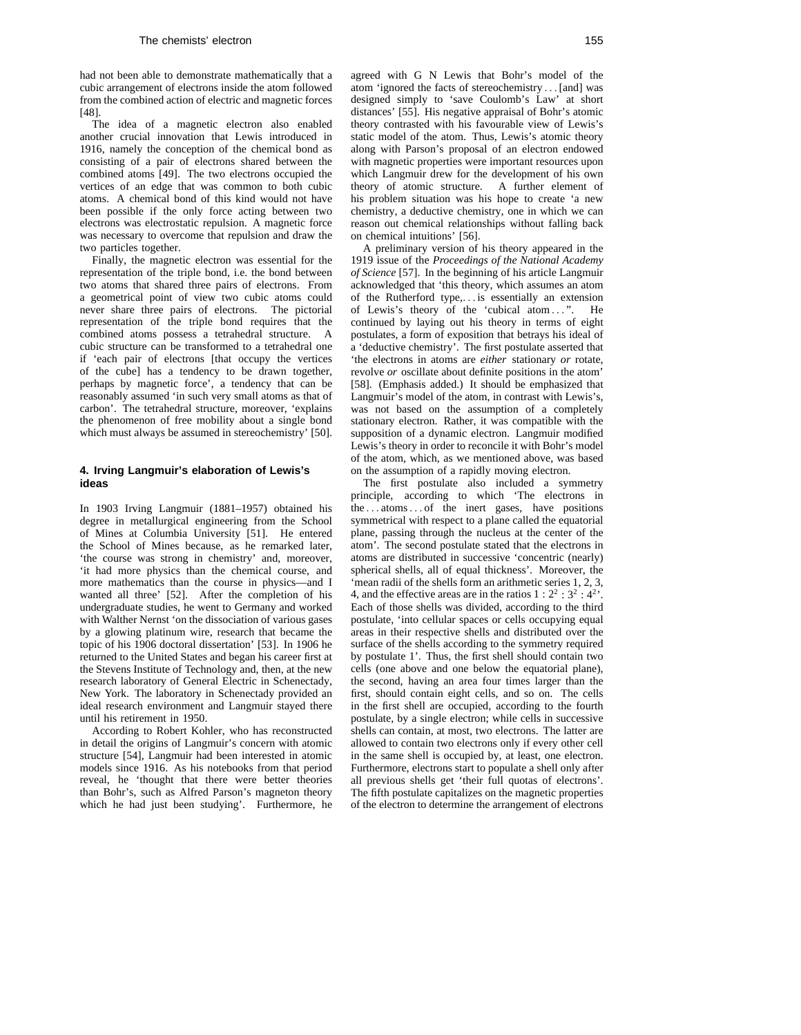had not been able to demonstrate mathematically that a cubic arrangement of electrons inside the atom followed from the combined action of electric and magnetic forces [48].

The idea of a magnetic electron also enabled another crucial innovation that Lewis introduced in 1916, namely the conception of the chemical bond as consisting of a pair of electrons shared between the combined atoms [49]. The two electrons occupied the vertices of an edge that was common to both cubic atoms. A chemical bond of this kind would not have been possible if the only force acting between two electrons was electrostatic repulsion. A magnetic force was necessary to overcome that repulsion and draw the two particles together.

Finally, the magnetic electron was essential for the representation of the triple bond, i.e. the bond between two atoms that shared three pairs of electrons. From a geometrical point of view two cubic atoms could never share three pairs of electrons. The pictorial representation of the triple bond requires that the combined atoms possess a tetrahedral structure. A cubic structure can be transformed to a tetrahedral one if 'each pair of electrons [that occupy the vertices of the cube] has a tendency to be drawn together, perhaps by magnetic force', a tendency that can be reasonably assumed 'in such very small atoms as that of carbon'. The tetrahedral structure, moreover, 'explains the phenomenon of free mobility about a single bond which must always be assumed in stereochemistry' [50].

# **4. Irving Langmuir's elaboration of Lewis's ideas**

In 1903 Irving Langmuir (1881–1957) obtained his degree in metallurgical engineering from the School of Mines at Columbia University [51]. He entered the School of Mines because, as he remarked later, 'the course was strong in chemistry' and, moreover, 'it had more physics than the chemical course, and more mathematics than the course in physics—and I wanted all three' [52]. After the completion of his undergraduate studies, he went to Germany and worked with Walther Nernst 'on the dissociation of various gases by a glowing platinum wire, research that became the topic of his 1906 doctoral dissertation' [53]. In 1906 he returned to the United States and began his career first at the Stevens Institute of Technology and, then, at the new research laboratory of General Electric in Schenectady, New York. The laboratory in Schenectady provided an ideal research environment and Langmuir stayed there until his retirement in 1950.

According to Robert Kohler, who has reconstructed in detail the origins of Langmuir's concern with atomic structure [54], Langmuir had been interested in atomic models since 1916. As his notebooks from that period reveal, he 'thought that there were better theories than Bohr's, such as Alfred Parson's magneton theory which he had just been studying'. Furthermore, he agreed with G N Lewis that Bohr's model of the atom 'ignored the facts of stereochemistry *...*[and] was designed simply to 'save Coulomb's Law' at short distances' [55]. His negative appraisal of Bohr's atomic theory contrasted with his favourable view of Lewis's static model of the atom. Thus, Lewis's atomic theory along with Parson's proposal of an electron endowed with magnetic properties were important resources upon which Langmuir drew for the development of his own theory of atomic structure. A further element of his problem situation was his hope to create 'a new chemistry, a deductive chemistry, one in which we can reason out chemical relationships without falling back on chemical intuitions' [56].

A preliminary version of his theory appeared in the 1919 issue of the *Proceedings of the National Academy of Science* [57]. In the beginning of his article Langmuir acknowledged that 'this theory, which assumes an atom of the Rutherford type,*...* is essentially an extension of Lewis's theory of the 'cubical atom ...". He continued by laying out his theory in terms of eight postulates, a form of exposition that betrays his ideal of a 'deductive chemistry'. The first postulate asserted that 'the electrons in atoms are *either* stationary *or* rotate, revolve *or* oscillate about definite positions in the atom' [58]. (Emphasis added.) It should be emphasized that Langmuir's model of the atom, in contrast with Lewis's, was not based on the assumption of a completely stationary electron. Rather, it was compatible with the supposition of a dynamic electron. Langmuir modified Lewis's theory in order to reconcile it with Bohr's model of the atom, which, as we mentioned above, was based on the assumption of a rapidly moving electron.

The first postulate also included a symmetry principle, according to which 'The electrons in the *...* atoms*...* of the inert gases, have positions symmetrical with respect to a plane called the equatorial plane, passing through the nucleus at the center of the atom'. The second postulate stated that the electrons in atoms are distributed in successive 'concentric (nearly) spherical shells, all of equal thickness'. Moreover, the 'mean radii of the shells form an arithmetic series 1, 2, 3, 4, and the effective areas are in the ratios  $1 : 2^2 : 3^2 : 4^2$ Each of those shells was divided, according to the third postulate, 'into cellular spaces or cells occupying equal areas in their respective shells and distributed over the surface of the shells according to the symmetry required by postulate 1'. Thus, the first shell should contain two cells (one above and one below the equatorial plane), the second, having an area four times larger than the first, should contain eight cells, and so on. The cells in the first shell are occupied, according to the fourth postulate, by a single electron; while cells in successive shells can contain, at most, two electrons. The latter are allowed to contain two electrons only if every other cell in the same shell is occupied by, at least, one electron. Furthermore, electrons start to populate a shell only after all previous shells get 'their full quotas of electrons'. The fifth postulate capitalizes on the magnetic properties of the electron to determine the arrangement of electrons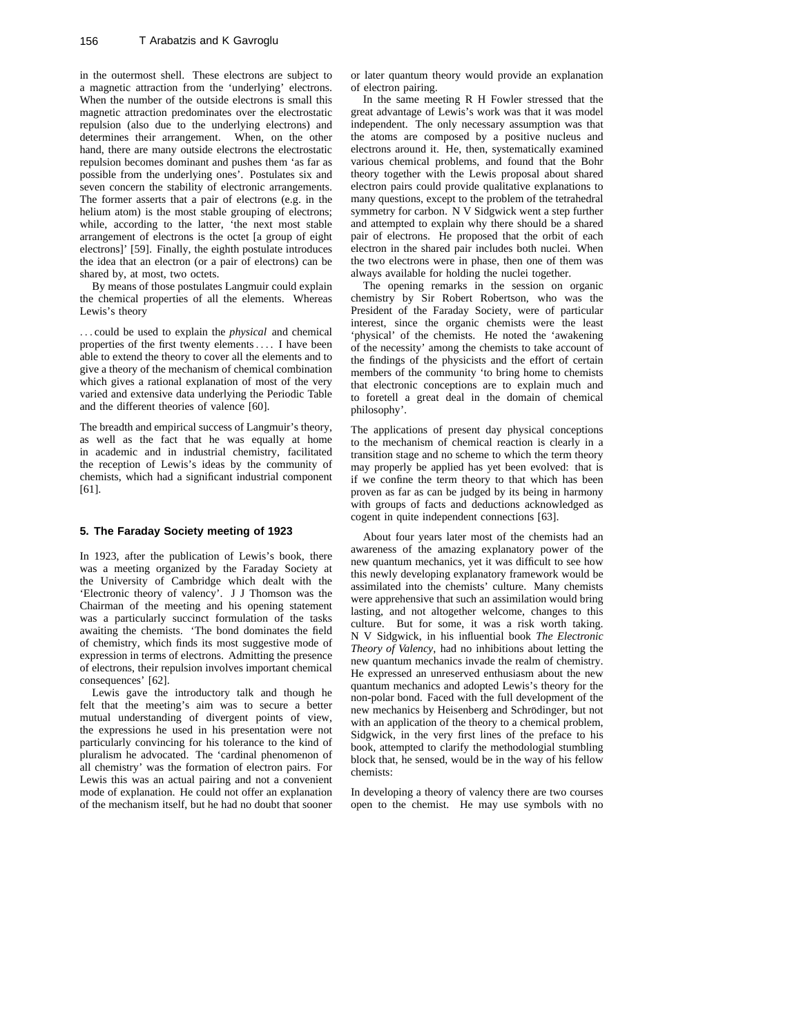in the outermost shell. These electrons are subject to a magnetic attraction from the 'underlying' electrons. When the number of the outside electrons is small this magnetic attraction predominates over the electrostatic repulsion (also due to the underlying electrons) and determines their arrangement. When, on the other hand, there are many outside electrons the electrostatic repulsion becomes dominant and pushes them 'as far as possible from the underlying ones'. Postulates six and seven concern the stability of electronic arrangements. The former asserts that a pair of electrons (e.g. in the helium atom) is the most stable grouping of electrons; while, according to the latter, 'the next most stable arrangement of electrons is the octet [a group of eight electrons]' [59]. Finally, the eighth postulate introduces the idea that an electron (or a pair of electrons) can be shared by, at most, two octets.

By means of those postulates Langmuir could explain the chemical properties of all the elements. Whereas Lewis's theory

*...* could be used to explain the *physical* and chemical properties of the first twenty elements*...* . I have been able to extend the theory to cover all the elements and to give a theory of the mechanism of chemical combination which gives a rational explanation of most of the very varied and extensive data underlying the Periodic Table and the different theories of valence [60].

The breadth and empirical success of Langmuir's theory, as well as the fact that he was equally at home in academic and in industrial chemistry, facilitated the reception of Lewis's ideas by the community of chemists, which had a significant industrial component [61].

# **5. The Faraday Society meeting of 1923**

In 1923, after the publication of Lewis's book, there was a meeting organized by the Faraday Society at the University of Cambridge which dealt with the 'Electronic theory of valency'. J J Thomson was the Chairman of the meeting and his opening statement was a particularly succinct formulation of the tasks awaiting the chemists. 'The bond dominates the field of chemistry, which finds its most suggestive mode of expression in terms of electrons. Admitting the presence of electrons, their repulsion involves important chemical consequences' [62].

Lewis gave the introductory talk and though he felt that the meeting's aim was to secure a better mutual understanding of divergent points of view, the expressions he used in his presentation were not particularly convincing for his tolerance to the kind of pluralism he advocated. The 'cardinal phenomenon of all chemistry' was the formation of electron pairs. For Lewis this was an actual pairing and not a convenient mode of explanation. He could not offer an explanation of the mechanism itself, but he had no doubt that sooner or later quantum theory would provide an explanation of electron pairing.

In the same meeting R H Fowler stressed that the great advantage of Lewis's work was that it was model independent. The only necessary assumption was that the atoms are composed by a positive nucleus and electrons around it. He, then, systematically examined various chemical problems, and found that the Bohr theory together with the Lewis proposal about shared electron pairs could provide qualitative explanations to many questions, except to the problem of the tetrahedral symmetry for carbon. N V Sidgwick went a step further and attempted to explain why there should be a shared pair of electrons. He proposed that the orbit of each electron in the shared pair includes both nuclei. When the two electrons were in phase, then one of them was always available for holding the nuclei together.

The opening remarks in the session on organic chemistry by Sir Robert Robertson, who was the President of the Faraday Society, were of particular interest, since the organic chemists were the least 'physical' of the chemists. He noted the 'awakening of the necessity' among the chemists to take account of the findings of the physicists and the effort of certain members of the community 'to bring home to chemists that electronic conceptions are to explain much and to foretell a great deal in the domain of chemical philosophy'.

The applications of present day physical conceptions to the mechanism of chemical reaction is clearly in a transition stage and no scheme to which the term theory may properly be applied has yet been evolved: that is if we confine the term theory to that which has been proven as far as can be judged by its being in harmony with groups of facts and deductions acknowledged as cogent in quite independent connections [63].

About four years later most of the chemists had an awareness of the amazing explanatory power of the new quantum mechanics, yet it was difficult to see how this newly developing explanatory framework would be assimilated into the chemists' culture. Many chemists were apprehensive that such an assimilation would bring lasting, and not altogether welcome, changes to this culture. But for some, it was a risk worth taking. N V Sidgwick, in his influential book *The Electronic Theory of Valency*, had no inhibitions about letting the new quantum mechanics invade the realm of chemistry. He expressed an unreserved enthusiasm about the new quantum mechanics and adopted Lewis's theory for the non-polar bond. Faced with the full development of the new mechanics by Heisenberg and Schrödinger, but not with an application of the theory to a chemical problem, Sidgwick, in the very first lines of the preface to his book, attempted to clarify the methodologial stumbling block that, he sensed, would be in the way of his fellow chemists:

In developing a theory of valency there are two courses open to the chemist. He may use symbols with no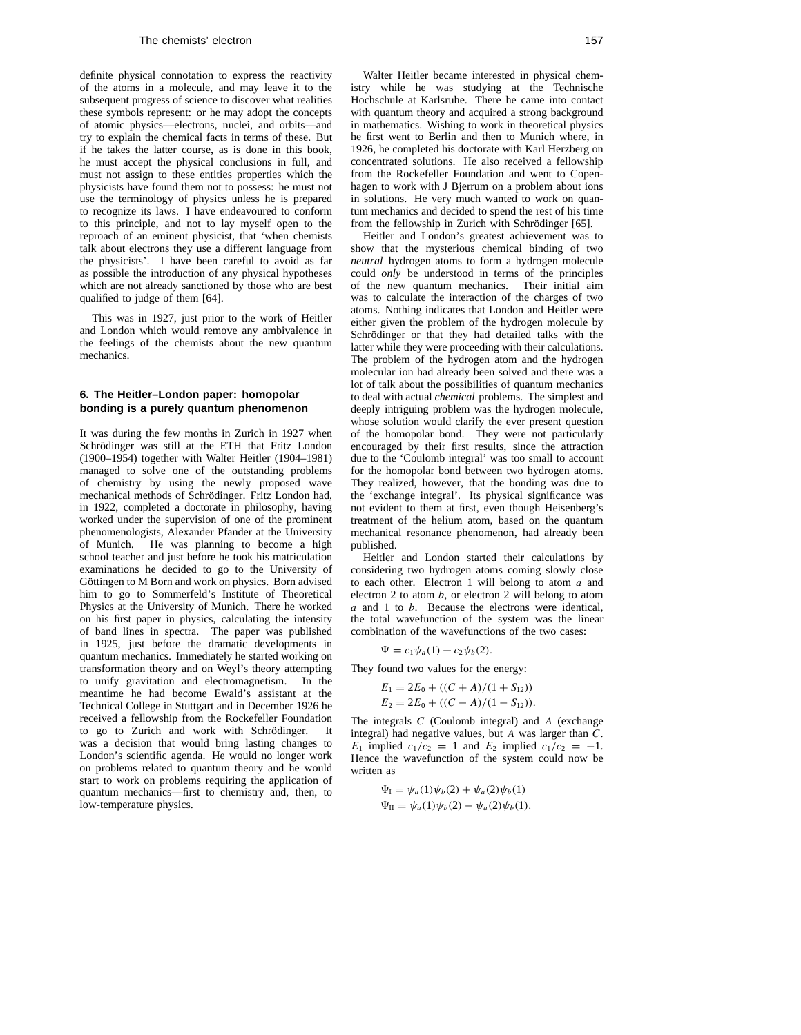#### The chemists' electron 157

definite physical connotation to express the reactivity of the atoms in a molecule, and may leave it to the subsequent progress of science to discover what realities these symbols represent: or he may adopt the concepts of atomic physics—electrons, nuclei, and orbits—and try to explain the chemical facts in terms of these. But if he takes the latter course, as is done in this book, he must accept the physical conclusions in full, and must not assign to these entities properties which the physicists have found them not to possess: he must not use the terminology of physics unless he is prepared to recognize its laws. I have endeavoured to conform to this principle, and not to lay myself open to the reproach of an eminent physicist, that 'when chemists talk about electrons they use a different language from the physicists'. I have been careful to avoid as far as possible the introduction of any physical hypotheses which are not already sanctioned by those who are best qualified to judge of them [64].

This was in 1927, just prior to the work of Heitler and London which would remove any ambivalence in the feelings of the chemists about the new quantum mechanics.

# **6. The Heitler–London paper: homopolar bonding is a purely quantum phenomenon**

It was during the few months in Zurich in 1927 when Schrödinger was still at the ETH that Fritz London (1900–1954) together with Walter Heitler (1904–1981) managed to solve one of the outstanding problems of chemistry by using the newly proposed wave mechanical methods of Schrödinger. Fritz London had, in 1922, completed a doctorate in philosophy, having worked under the supervision of one of the prominent phenomenologists, Alexander Pfander at the University of Munich. He was planning to become a high school teacher and just before he took his matriculation examinations he decided to go to the University of Göttingen to M Born and work on physics. Born advised him to go to Sommerfeld's Institute of Theoretical Physics at the University of Munich. There he worked on his first paper in physics, calculating the intensity of band lines in spectra. The paper was published in 1925, just before the dramatic developments in quantum mechanics. Immediately he started working on transformation theory and on Weyl's theory attempting to unify gravitation and electromagnetism. In the meantime he had become Ewald's assistant at the Technical College in Stuttgart and in December 1926 he received a fellowship from the Rockefeller Foundation to go to Zurich and work with Schrödinger. It was a decision that would bring lasting changes to London's scientific agenda. He would no longer work on problems related to quantum theory and he would start to work on problems requiring the application of quantum mechanics—first to chemistry and, then, to low-temperature physics.

Walter Heitler became interested in physical chemistry while he was studying at the Technische Hochschule at Karlsruhe. There he came into contact with quantum theory and acquired a strong background in mathematics. Wishing to work in theoretical physics he first went to Berlin and then to Munich where, in 1926, he completed his doctorate with Karl Herzberg on concentrated solutions. He also received a fellowship from the Rockefeller Foundation and went to Copenhagen to work with J Bjerrum on a problem about ions in solutions. He very much wanted to work on quantum mechanics and decided to spend the rest of his time from the fellowship in Zurich with Schrödinger [65].

Heitler and London's greatest achievement was to show that the mysterious chemical binding of two *neutral* hydrogen atoms to form a hydrogen molecule could *only* be understood in terms of the principles of the new quantum mechanics. Their initial aim was to calculate the interaction of the charges of two atoms. Nothing indicates that London and Heitler were either given the problem of the hydrogen molecule by Schrödinger or that they had detailed talks with the latter while they were proceeding with their calculations. The problem of the hydrogen atom and the hydrogen molecular ion had already been solved and there was a lot of talk about the possibilities of quantum mechanics to deal with actual *chemical* problems. The simplest and deeply intriguing problem was the hydrogen molecule, whose solution would clarify the ever present question of the homopolar bond. They were not particularly encouraged by their first results, since the attraction due to the 'Coulomb integral' was too small to account for the homopolar bond between two hydrogen atoms. They realized, however, that the bonding was due to the 'exchange integral'. Its physical significance was not evident to them at first, even though Heisenberg's treatment of the helium atom, based on the quantum mechanical resonance phenomenon, had already been published.

Heitler and London started their calculations by considering two hydrogen atoms coming slowly close to each other. Electron 1 will belong to atom *a* and electron 2 to atom *b*, or electron 2 will belong to atom *a* and 1 to *b*. Because the electrons were identical, the total wavefunction of the system was the linear combination of the wavefunctions of the two cases:

$$
\Psi = c_1 \psi_a(1) + c_2 \psi_b(2).
$$

They found two values for the energy:

$$
E_1 = 2E_0 + ((C + A)/(1 + S_{12}))
$$
  
\n
$$
E_2 = 2E_0 + ((C - A)/(1 - S_{12})).
$$

The integrals *C* (Coulomb integral) and *A* (exchange integral) had negative values, but *A* was larger than *C*. *E*<sub>1</sub> implied  $c_1/c_2 = 1$  and  $E_2$  implied  $c_1/c_2 = -1$ . Hence the wavefunction of the system could now be written as

$$
\Psi_{\rm I} = \psi_a(1)\psi_b(2) + \psi_a(2)\psi_b(1)
$$
  
\n
$$
\Psi_{\rm II} = \psi_a(1)\psi_b(2) - \psi_a(2)\psi_b(1).
$$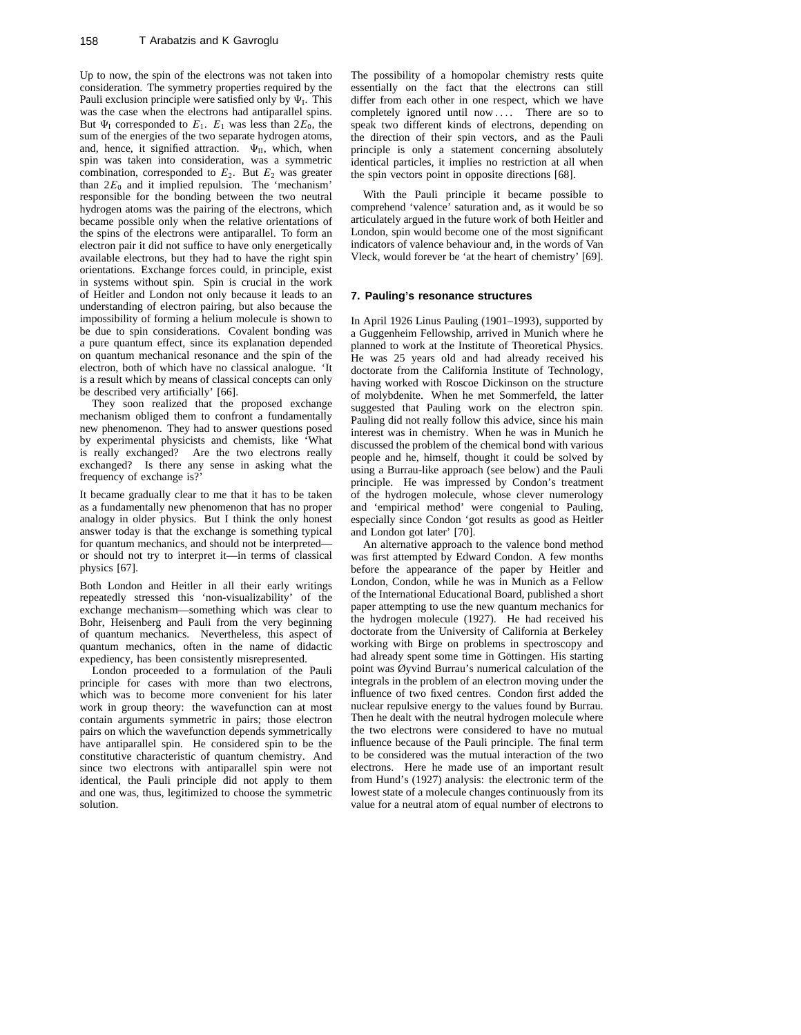Up to now, the spin of the electrons was not taken into consideration. The symmetry properties required by the Pauli exclusion principle were satisfied only by  $\Psi$ <sub>I</sub>. This was the case when the electrons had antiparallel spins. But  $\Psi$ <sub>I</sub> corresponded to  $E_1$ .  $E_1$  was less than  $2E_0$ , the sum of the energies of the two separate hydrogen atoms, and, hence, it signified attraction.  $\Psi_{II}$ , which, when spin was taken into consideration, was a symmetric combination, corresponded to  $E_2$ . But  $E_2$  was greater than  $2E_0$  and it implied repulsion. The 'mechanism' responsible for the bonding between the two neutral hydrogen atoms was the pairing of the electrons, which became possible only when the relative orientations of the spins of the electrons were antiparallel. To form an electron pair it did not suffice to have only energetically available electrons, but they had to have the right spin orientations. Exchange forces could, in principle, exist in systems without spin. Spin is crucial in the work of Heitler and London not only because it leads to an understanding of electron pairing, but also because the impossibility of forming a helium molecule is shown to be due to spin considerations. Covalent bonding was a pure quantum effect, since its explanation depended on quantum mechanical resonance and the spin of the electron, both of which have no classical analogue. 'It is a result which by means of classical concepts can only be described very artificially' [66].

They soon realized that the proposed exchange mechanism obliged them to confront a fundamentally new phenomenon. They had to answer questions posed by experimental physicists and chemists, like 'What is really exchanged? Are the two electrons really exchanged? Is there any sense in asking what the frequency of exchange is?'

It became gradually clear to me that it has to be taken as a fundamentally new phenomenon that has no proper analogy in older physics. But I think the only honest answer today is that the exchange is something typical for quantum mechanics, and should not be interpreted or should not try to interpret it—in terms of classical physics [67].

Both London and Heitler in all their early writings repeatedly stressed this 'non-visualizability' of the exchange mechanism—something which was clear to Bohr, Heisenberg and Pauli from the very beginning of quantum mechanics. Nevertheless, this aspect of quantum mechanics, often in the name of didactic expediency, has been consistently misrepresented.

London proceeded to a formulation of the Pauli principle for cases with more than two electrons, which was to become more convenient for his later work in group theory: the wavefunction can at most contain arguments symmetric in pairs; those electron pairs on which the wavefunction depends symmetrically have antiparallel spin. He considered spin to be the constitutive characteristic of quantum chemistry. And since two electrons with antiparallel spin were not identical, the Pauli principle did not apply to them and one was, thus, legitimized to choose the symmetric solution.

The possibility of a homopolar chemistry rests quite essentially on the fact that the electrons can still differ from each other in one respect, which we have completely ignored until now *...* . There are so to speak two different kinds of electrons, depending on the direction of their spin vectors, and as the Pauli principle is only a statement concerning absolutely identical particles, it implies no restriction at all when the spin vectors point in opposite directions [68].

With the Pauli principle it became possible to comprehend 'valence' saturation and, as it would be so articulately argued in the future work of both Heitler and London, spin would become one of the most significant indicators of valence behaviour and, in the words of Van Vleck, would forever be 'at the heart of chemistry' [69].

### **7. Pauling's resonance structures**

In April 1926 Linus Pauling (1901–1993), supported by a Guggenheim Fellowship, arrived in Munich where he planned to work at the Institute of Theoretical Physics. He was 25 years old and had already received his doctorate from the California Institute of Technology, having worked with Roscoe Dickinson on the structure of molybdenite. When he met Sommerfeld, the latter suggested that Pauling work on the electron spin. Pauling did not really follow this advice, since his main interest was in chemistry. When he was in Munich he discussed the problem of the chemical bond with various people and he, himself, thought it could be solved by using a Burrau-like approach (see below) and the Pauli principle. He was impressed by Condon's treatment of the hydrogen molecule, whose clever numerology and 'empirical method' were congenial to Pauling, especially since Condon 'got results as good as Heitler and London got later' [70].

An alternative approach to the valence bond method was first attempted by Edward Condon. A few months before the appearance of the paper by Heitler and London, Condon, while he was in Munich as a Fellow of the International Educational Board, published a short paper attempting to use the new quantum mechanics for the hydrogen molecule (1927). He had received his doctorate from the University of California at Berkeley working with Birge on problems in spectroscopy and had already spent some time in Göttingen. His starting point was Øyvind Burrau's numerical calculation of the integrals in the problem of an electron moving under the influence of two fixed centres. Condon first added the nuclear repulsive energy to the values found by Burrau. Then he dealt with the neutral hydrogen molecule where the two electrons were considered to have no mutual influence because of the Pauli principle. The final term to be considered was the mutual interaction of the two electrons. Here he made use of an important result from Hund's (1927) analysis: the electronic term of the lowest state of a molecule changes continuously from its value for a neutral atom of equal number of electrons to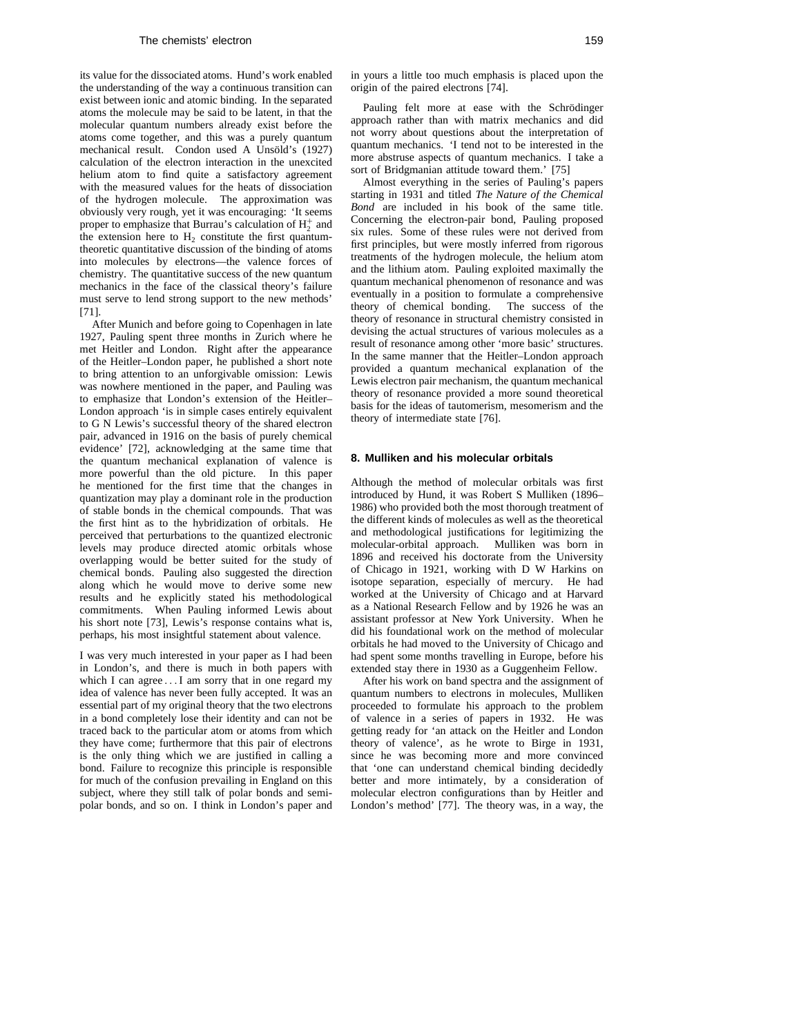its value for the dissociated atoms. Hund's work enabled the understanding of the way a continuous transition can exist between ionic and atomic binding. In the separated atoms the molecule may be said to be latent, in that the molecular quantum numbers already exist before the atoms come together, and this was a purely quantum mechanical result. Condon used A Unsold's (1927) calculation of the electron interaction in the unexcited helium atom to find quite a satisfactory agreement with the measured values for the heats of dissociation of the hydrogen molecule. The approximation was obviously very rough, yet it was encouraging: 'It seems proper to emphasize that Burrau's calculation of  $H_2^+$  and the extension here to  $H_2$  constitute the first quantumtheoretic quantitative discussion of the binding of atoms into molecules by electrons—the valence forces of chemistry. The quantitative success of the new quantum mechanics in the face of the classical theory's failure must serve to lend strong support to the new methods' [71].

After Munich and before going to Copenhagen in late 1927, Pauling spent three months in Zurich where he met Heitler and London. Right after the appearance of the Heitler–London paper, he published a short note to bring attention to an unforgivable omission: Lewis was nowhere mentioned in the paper, and Pauling was to emphasize that London's extension of the Heitler– London approach 'is in simple cases entirely equivalent to G N Lewis's successful theory of the shared electron pair, advanced in 1916 on the basis of purely chemical evidence' [72], acknowledging at the same time that the quantum mechanical explanation of valence is more powerful than the old picture. In this paper he mentioned for the first time that the changes in quantization may play a dominant role in the production of stable bonds in the chemical compounds. That was the first hint as to the hybridization of orbitals. He perceived that perturbations to the quantized electronic levels may produce directed atomic orbitals whose overlapping would be better suited for the study of chemical bonds. Pauling also suggested the direction along which he would move to derive some new results and he explicitly stated his methodological commitments. When Pauling informed Lewis about his short note [73], Lewis's response contains what is, perhaps, his most insightful statement about valence.

I was very much interested in your paper as I had been in London's, and there is much in both papers with which I can agree *...*I am sorry that in one regard my idea of valence has never been fully accepted. It was an essential part of my original theory that the two electrons in a bond completely lose their identity and can not be traced back to the particular atom or atoms from which they have come; furthermore that this pair of electrons is the only thing which we are justified in calling a bond. Failure to recognize this principle is responsible for much of the confusion prevailing in England on this subject, where they still talk of polar bonds and semipolar bonds, and so on. I think in London's paper and in yours a little too much emphasis is placed upon the origin of the paired electrons [74].

Pauling felt more at ease with the Schrödinger approach rather than with matrix mechanics and did not worry about questions about the interpretation of quantum mechanics. 'I tend not to be interested in the more abstruse aspects of quantum mechanics. I take a sort of Bridgmanian attitude toward them.' [75]

Almost everything in the series of Pauling's papers starting in 1931 and titled *The Nature of the Chemical Bond* are included in his book of the same title. Concerning the electron-pair bond, Pauling proposed six rules. Some of these rules were not derived from first principles, but were mostly inferred from rigorous treatments of the hydrogen molecule, the helium atom and the lithium atom. Pauling exploited maximally the quantum mechanical phenomenon of resonance and was eventually in a position to formulate a comprehensive theory of chemical bonding. The success of the theory of chemical bonding. theory of resonance in structural chemistry consisted in devising the actual structures of various molecules as a result of resonance among other 'more basic' structures. In the same manner that the Heitler–London approach provided a quantum mechanical explanation of the Lewis electron pair mechanism, the quantum mechanical theory of resonance provided a more sound theoretical basis for the ideas of tautomerism, mesomerism and the theory of intermediate state [76].

#### **8. Mulliken and his molecular orbitals**

Although the method of molecular orbitals was first introduced by Hund, it was Robert S Mulliken (1896– 1986) who provided both the most thorough treatment of the different kinds of molecules as well as the theoretical and methodological justifications for legitimizing the molecular-orbital approach. Mulliken was born in 1896 and received his doctorate from the University of Chicago in 1921, working with D W Harkins on isotope separation, especially of mercury. He had worked at the University of Chicago and at Harvard as a National Research Fellow and by 1926 he was an assistant professor at New York University. When he did his foundational work on the method of molecular orbitals he had moved to the University of Chicago and had spent some months travelling in Europe, before his extended stay there in 1930 as a Guggenheim Fellow.

After his work on band spectra and the assignment of quantum numbers to electrons in molecules, Mulliken proceeded to formulate his approach to the problem of valence in a series of papers in 1932. He was getting ready for 'an attack on the Heitler and London theory of valence', as he wrote to Birge in 1931, since he was becoming more and more convinced that 'one can understand chemical binding decidedly better and more intimately, by a consideration of molecular electron configurations than by Heitler and London's method' [77]. The theory was, in a way, the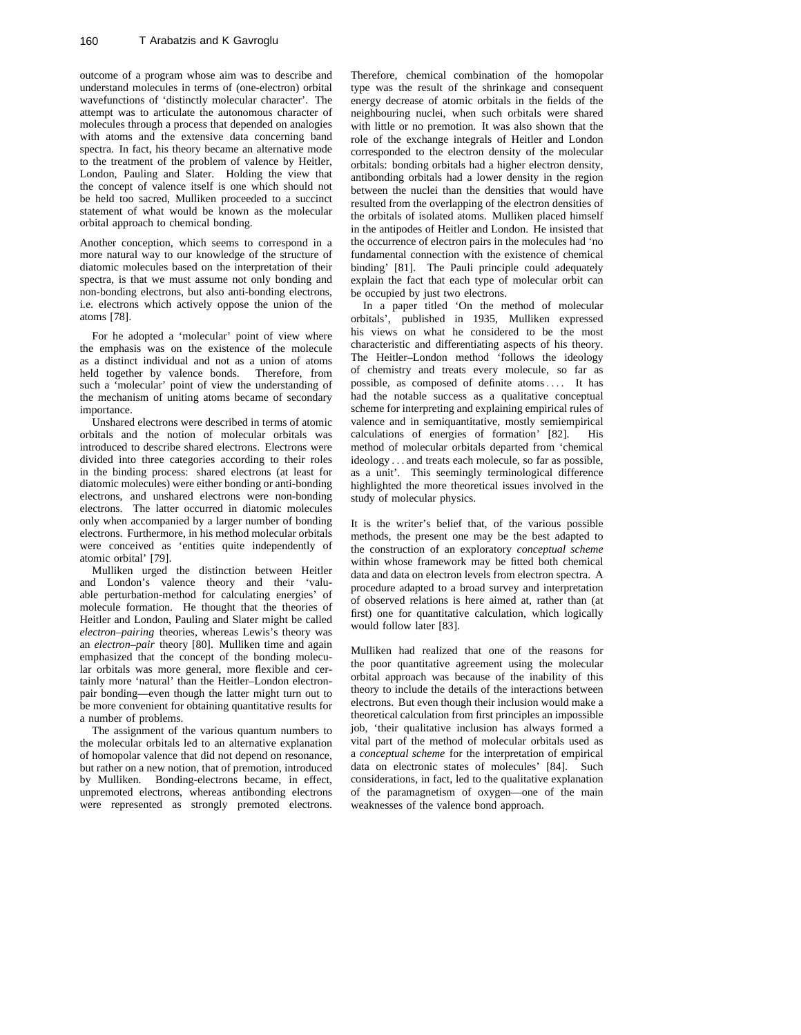outcome of a program whose aim was to describe and understand molecules in terms of (one-electron) orbital wavefunctions of 'distinctly molecular character'. The attempt was to articulate the autonomous character of molecules through a process that depended on analogies with atoms and the extensive data concerning band spectra. In fact, his theory became an alternative mode to the treatment of the problem of valence by Heitler, London, Pauling and Slater. Holding the view that the concept of valence itself is one which should not be held too sacred, Mulliken proceeded to a succinct statement of what would be known as the molecular orbital approach to chemical bonding.

Another conception, which seems to correspond in a more natural way to our knowledge of the structure of diatomic molecules based on the interpretation of their spectra, is that we must assume not only bonding and non-bonding electrons, but also anti-bonding electrons, i.e. electrons which actively oppose the union of the atoms [78].

For he adopted a 'molecular' point of view where the emphasis was on the existence of the molecule as a distinct individual and not as a union of atoms held together by valence bonds. Therefore, from such a 'molecular' point of view the understanding of the mechanism of uniting atoms became of secondary importance.

Unshared electrons were described in terms of atomic orbitals and the notion of molecular orbitals was introduced to describe shared electrons. Electrons were divided into three categories according to their roles in the binding process: shared electrons (at least for diatomic molecules) were either bonding or anti-bonding electrons, and unshared electrons were non-bonding electrons. The latter occurred in diatomic molecules only when accompanied by a larger number of bonding electrons. Furthermore, in his method molecular orbitals were conceived as 'entities quite independently of atomic orbital' [79].

Mulliken urged the distinction between Heitler and London's valence theory and their 'valuable perturbation-method for calculating energies' of molecule formation. He thought that the theories of Heitler and London, Pauling and Slater might be called *electron–pairing* theories, whereas Lewis's theory was an *electron–pair* theory [80]. Mulliken time and again emphasized that the concept of the bonding molecular orbitals was more general, more flexible and certainly more 'natural' than the Heitler–London electronpair bonding—even though the latter might turn out to be more convenient for obtaining quantitative results for a number of problems.

The assignment of the various quantum numbers to the molecular orbitals led to an alternative explanation of homopolar valence that did not depend on resonance, but rather on a new notion, that of premotion, introduced by Mulliken. Bonding-electrons became, in effect, unpremoted electrons, whereas antibonding electrons were represented as strongly premoted electrons. Therefore, chemical combination of the homopolar type was the result of the shrinkage and consequent energy decrease of atomic orbitals in the fields of the neighbouring nuclei, when such orbitals were shared with little or no premotion. It was also shown that the role of the exchange integrals of Heitler and London corresponded to the electron density of the molecular orbitals: bonding orbitals had a higher electron density, antibonding orbitals had a lower density in the region between the nuclei than the densities that would have resulted from the overlapping of the electron densities of the orbitals of isolated atoms. Mulliken placed himself in the antipodes of Heitler and London. He insisted that the occurrence of electron pairs in the molecules had 'no fundamental connection with the existence of chemical binding' [81]. The Pauli principle could adequately explain the fact that each type of molecular orbit can be occupied by just two electrons.

In a paper titled 'On the method of molecular orbitals', published in 1935, Mulliken expressed his views on what he considered to be the most characteristic and differentiating aspects of his theory. The Heitler–London method 'follows the ideology of chemistry and treats every molecule, so far as possible, as composed of definite atoms*...* . It has had the notable success as a qualitative conceptual scheme for interpreting and explaining empirical rules of valence and in semiquantitative, mostly semiempirical calculations of energies of formation' [82]. His method of molecular orbitals departed from 'chemical ideology *...* and treats each molecule, so far as possible, as a unit'. This seemingly terminological difference highlighted the more theoretical issues involved in the study of molecular physics.

It is the writer's belief that, of the various possible methods, the present one may be the best adapted to the construction of an exploratory *conceptual scheme* within whose framework may be fitted both chemical data and data on electron levels from electron spectra. A procedure adapted to a broad survey and interpretation of observed relations is here aimed at, rather than (at first) one for quantitative calculation, which logically would follow later [83].

Mulliken had realized that one of the reasons for the poor quantitative agreement using the molecular orbital approach was because of the inability of this theory to include the details of the interactions between electrons. But even though their inclusion would make a theoretical calculation from first principles an impossible job, 'their qualitative inclusion has always formed a vital part of the method of molecular orbitals used as a *conceptual scheme* for the interpretation of empirical data on electronic states of molecules' [84]. Such considerations, in fact, led to the qualitative explanation of the paramagnetism of oxygen—one of the main weaknesses of the valence bond approach.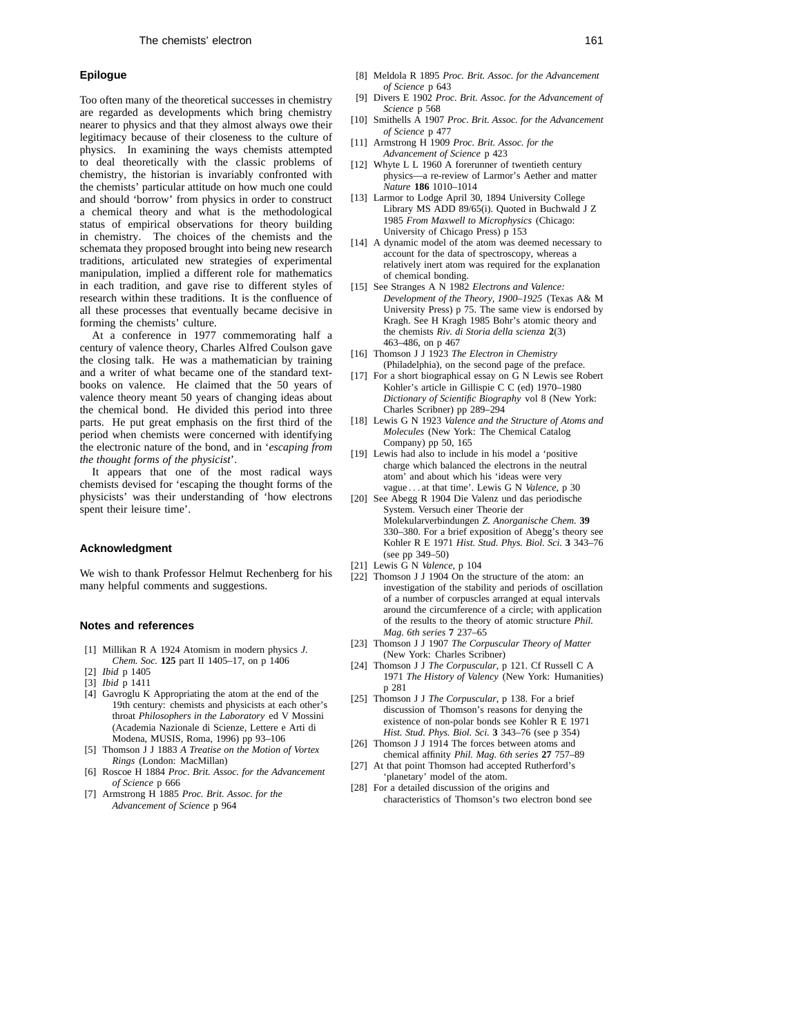### **Epilogue**

Too often many of the theoretical successes in chemistry are regarded as developments which bring chemistry nearer to physics and that they almost always owe their legitimacy because of their closeness to the culture of physics. In examining the ways chemists attempted to deal theoretically with the classic problems of chemistry, the historian is invariably confronted with the chemists' particular attitude on how much one could and should 'borrow' from physics in order to construct a chemical theory and what is the methodological status of empirical observations for theory building in chemistry. The choices of the chemists and the schemata they proposed brought into being new research traditions, articulated new strategies of experimental manipulation, implied a different role for mathematics in each tradition, and gave rise to different styles of research within these traditions. It is the confluence of all these processes that eventually became decisive in forming the chemists' culture.

At a conference in 1977 commemorating half a century of valence theory, Charles Alfred Coulson gave the closing talk. He was a mathematician by training and a writer of what became one of the standard textbooks on valence. He claimed that the 50 years of valence theory meant 50 years of changing ideas about the chemical bond. He divided this period into three parts. He put great emphasis on the first third of the period when chemists were concerned with identifying the electronic nature of the bond, and in '*escaping from the thought forms of the physicist*'.

It appears that one of the most radical ways chemists devised for 'escaping the thought forms of the physicists' was their understanding of 'how electrons spent their leisure time'.

#### **Acknowledgment**

We wish to thank Professor Helmut Rechenberg for his many helpful comments and suggestions.

# **Notes and references**

- [1] Millikan R A 1924 Atomism in modern physics *J. Chem. Soc.* **125** part II 1405–17, on p 1406
- [2] *Ibid* p 1405
- [3] *Ibid* p 1411
- [4] Gavroglu K Appropriating the atom at the end of the 19th century: chemists and physicists at each other's throat *Philosophers in the Laboratory* ed V Mossini (Academia Nazionale di Scienze, Lettere e Arti di Modena, MUSIS, Roma, 1996) pp 93–106
- [5] Thomson J J 1883 *A Treatise on the Motion of Vortex Rings* (London: MacMillan)
- [6] Roscoe H 1884 *Proc. Brit. Assoc. for the Advancement of Science* p 666
- [7] Armstrong H 1885 *Proc. Brit. Assoc. for the Advancement of Science* p 964
- [8] Meldola R 1895 *Proc. Brit. Assoc. for the Advancement of Science* p 643
- [9] Divers E 1902 *Proc. Brit. Assoc. for the Advancement of Science* p 568
- [10] Smithells A 1907 *Proc. Brit. Assoc. for the Advancement of Science* p 477
- [11] Armstrong H 1909 *Proc. Brit. Assoc. for the Advancement of Science* p 423
- [12] Whyte L L 1960 A forerunner of twentieth century physics—a re-review of Larmor's Aether and matter *Nature* **186** 1010–1014
- [13] Larmor to Lodge April 30, 1894 University College Library MS ADD 89/65(i). Quoted in Buchwald J Z 1985 *From Maxwell to Microphysics* (Chicago: University of Chicago Press) p 153
- [14] A dynamic model of the atom was deemed necessary to account for the data of spectroscopy, whereas a relatively inert atom was required for the explanation of chemical bonding.
- [15] See Stranges A N 1982 *Electrons and Valence: Development of the Theory, 1900–1925* (Texas A& M University Press) p 75. The same view is endorsed by Kragh. See H Kragh 1985 Bohr's atomic theory and the chemists *Riv. di Storia della scienza* **2**(3) 463–486, on p 467
- [16] Thomson J J 1923 *The Electron in Chemistry* (Philadelphia), on the second page of the preface.
- [17] For a short biographical essay on G N Lewis see Robert Kohler's article in Gillispie C C (ed) 1970–1980 *Dictionary of Scientific Biography* vol 8 (New York: Charles Scribner) pp 289–294
- [18] Lewis G N 1923 *Valence and the Structure of Atoms and Molecules* (New York: The Chemical Catalog Company) pp 50, 165
- [19] Lewis had also to include in his model a 'positive charge which balanced the electrons in the neutral atom' and about which his 'ideas were very vague *...* at that time'. Lewis G N *Valence*, p 30
- [20] See Abegg R 1904 Die Valenz und das periodische System. Versuch einer Theorie der Molekularverbindungen *Z. Anorganische Chem.* **39** 330–380. For a brief exposition of Abegg's theory see Kohler R E 1971 *Hist. Stud. Phys. Biol. Sci.* **3** 343–76 (see pp 349–50)
- [21] Lewis G N *Valence*, p 104
- [22] Thomson J J 1904 On the structure of the atom: an investigation of the stability and periods of oscillation of a number of corpuscles arranged at equal intervals around the circumference of a circle; with application of the results to the theory of atomic structure *Phil. Mag. 6th series* **7** 237–65
- [23] Thomson J J 1907 *The Corpuscular Theory of Matter* (New York: Charles Scribner)
- [24] Thomson J J *The Corpuscular*, p 121. Cf Russell C A 1971 *The History of Valency* (New York: Humanities) p 281
- [25] Thomson J J *The Corpuscular*, p 138. For a brief discussion of Thomson's reasons for denying the existence of non-polar bonds see Kohler R E 1971 *Hist. Stud. Phys. Biol. Sci.* **3** 343–76 (see p 354)
- [26] Thomson J J 1914 The forces between atoms and chemical affinity *Phil. Mag. 6th series* **27** 757–89
- [27] At that point Thomson had accepted Rutherford's 'planetary' model of the atom.
- [28] For a detailed discussion of the origins and characteristics of Thomson's two electron bond see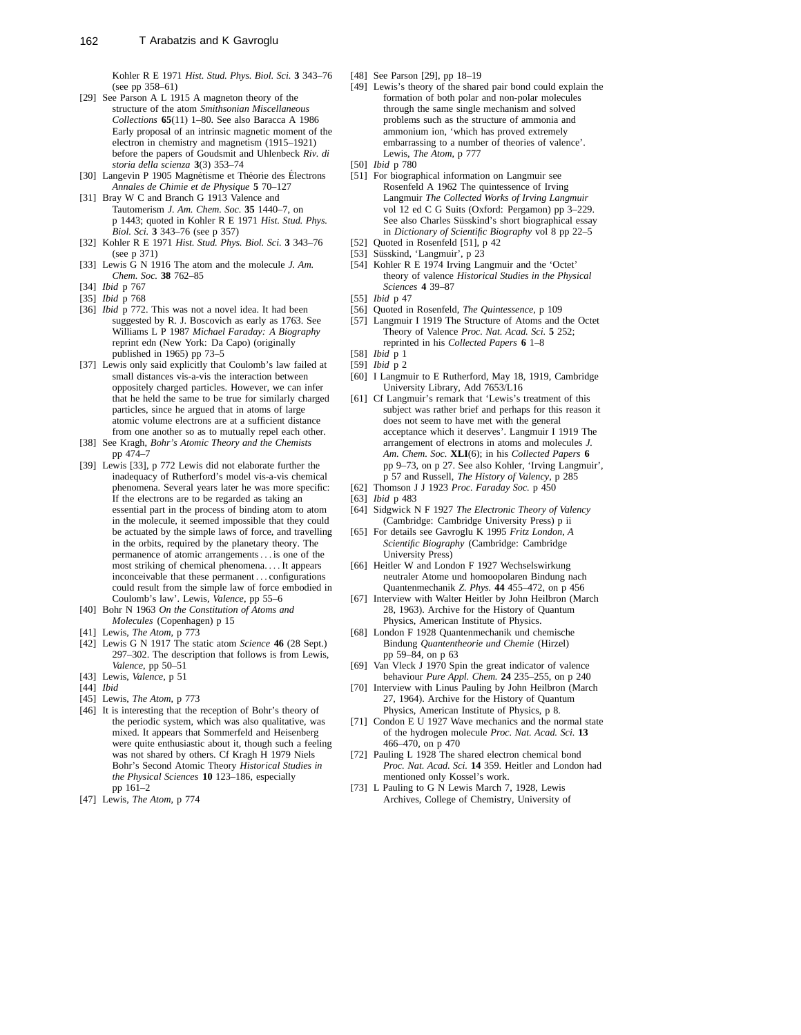Kohler R E 1971 *Hist. Stud. Phys. Biol. Sci.* **3** 343–76 (see pp 358–61)

- [29] See Parson A L 1915 A magneton theory of the structure of the atom *Smithsonian Miscellaneous Collections* **65**(11) 1–80. See also Baracca A 1986 Early proposal of an intrinsic magnetic moment of the electron in chemistry and magnetism (1915–1921) before the papers of Goudsmit and Uhlenbeck *Riv. di storia della scienza* **3**(3) 353–74
- [30] Langevin P 1905 Magnétisme et Théorie des Électrons *Annales de Chimie et de Physique* **5** 70–127
- [31] Bray W C and Branch G 1913 Valence and Tautomerism *J. Am. Chem. Soc.* **35** 1440–7, on p 1443; quoted in Kohler R E 1971 *Hist. Stud. Phys. Biol. Sci.* **3** 343–76 (see p 357)
- [32] Kohler R E 1971 *Hist. Stud. Phys. Biol. Sci.* **3** 343–76 (see p 371)
- [33] Lewis G N 1916 The atom and the molecule *J. Am. Chem. Soc.* **38** 762–85
- [34] *Ibid* p 767
- [35] *Ibid* p 768
- [36] *Ibid* p 772. This was not a novel idea. It had been suggested by R. J. Boscovich as early as 1763. See Williams L P 1987 *Michael Faraday: A Biography* reprint edn (New York: Da Capo) (originally published in 1965) pp 73–5
- [37] Lewis only said explicitly that Coulomb's law failed at small distances vis-a-vis the interaction between oppositely charged particles. However, we can infer that he held the same to be true for similarly charged particles, since he argued that in atoms of large atomic volume electrons are at a sufficient distance from one another so as to mutually repel each other.
- [38] See Kragh, *Bohr's Atomic Theory and the Chemists* pp 474–7
- [39] Lewis [33], p 772 Lewis did not elaborate further the inadequacy of Rutherford's model vis-a-vis chemical phenomena. Several years later he was more specific: If the electrons are to be regarded as taking an essential part in the process of binding atom to atom in the molecule, it seemed impossible that they could be actuated by the simple laws of force, and travelling in the orbits, required by the planetary theory. The permanence of atomic arrangements*...* is one of the most striking of chemical phenomena. *...*It appears inconceivable that these permanent *...* configurations could result from the simple law of force embodied in Coulomb's law'. Lewis, *Valence*, pp 55–6
- [40] Bohr N 1963 *On the Constitution of Atoms and Molecules* (Copenhagen) p 15
- [41] Lewis, *The Atom*, p 773
- [42] Lewis G N 1917 The static atom *Science* **46** (28 Sept.) 297–302. The description that follows is from Lewis, *Valence*, pp 50–51
- [43] Lewis, *Valence*, p 51
- [44] *Ibid*
- [45] Lewis, *The Atom*, p 773
- [46] It is interesting that the reception of Bohr's theory of the periodic system, which was also qualitative, was mixed. It appears that Sommerfeld and Heisenberg were quite enthusiastic about it, though such a feeling was not shared by others. Cf Kragh H 1979 Niels Bohr's Second Atomic Theory *Historical Studies in the Physical Sciences* **10** 123–186, especially pp 161–2
- [47] Lewis, *The Atom*, p 774
- [48] See Parson [29], pp 18–19
- [49] Lewis's theory of the shared pair bond could explain the formation of both polar and non-polar molecules through the same single mechanism and solved problems such as the structure of ammonia and ammonium ion, 'which has proved extremely embarrassing to a number of theories of valence'. Lewis, *The Atom*, p 777
- [50] *Ibid* p 780
- [51] For biographical information on Langmuir see Rosenfeld A 1962 The quintessence of Irving Langmuir *The Collected Works of Irving Langmuir* vol 12 ed C G Suits (Oxford: Pergamon) pp 3–229. See also Charles Süsskind's short biographical essay in *Dictionary of Scientific Biography* vol 8 pp 22–5
- [52] Quoted in Rosenfeld [51], p 42
- [53] Süsskind, 'Langmuir', p 23
- [54] Kohler R E 1974 Irving Langmuir and the 'Octet' theory of valence *Historical Studies in the Physical Sciences* **4** 39–87
- [55] *Ibid* p 47
- [56] Quoted in Rosenfeld, *The Quintessence*, p 109
- [57] Langmuir I 1919 The Structure of Atoms and the Octet Theory of Valence *Proc. Nat. Acad. Sci.* **5** 252; reprinted in his *Collected Papers* **6** 1–8
- [58] *Ibid* p 1
- [59] *Ibid* p 2
- [60] I Langmuir to E Rutherford, May 18, 1919, Cambridge University Library, Add 7653/L16
- [61] Cf Langmuir's remark that 'Lewis's treatment of this subject was rather brief and perhaps for this reason it does not seem to have met with the general acceptance which it deserves'. Langmuir I 1919 The arrangement of electrons in atoms and molecules *J. Am. Chem. Soc.* **XLI**(6); in his *Collected Papers* **6** pp 9–73, on p 27. See also Kohler, 'Irving Langmuir', p 57 and Russell, *The History of Valency*, p 285
- [62] Thomson J J 1923 *Proc. Faraday Soc.* p 450
- [63] *Ibid* p 483
- [64] Sidgwick N F 1927 *The Electronic Theory of Valency* (Cambridge: Cambridge University Press) p ii
- [65] For details see Gavroglu K 1995 *Fritz London, A Scientific Biography* (Cambridge: Cambridge University Press)
- [66] Heitler W and London F 1927 Wechselswirkung neutraler Atome und homoopolaren Bindung nach Quantenmechanik *Z. Phys.* **44** 455–472, on p 456
- [67] Interview with Walter Heitler by John Heilbron (March 28, 1963). Archive for the History of Quantum Physics, American Institute of Physics.
- [68] London F 1928 Quantenmechanik und chemische Bindung *Quantentheorie und Chemie* (Hirzel) pp 59–84, on p 63
- [69] Van Vleck J 1970 Spin the great indicator of valence behaviour *Pure Appl. Chem.* **24** 235–255, on p 240
- [70] Interview with Linus Pauling by John Heilbron (March 27, 1964). Archive for the History of Quantum Physics, American Institute of Physics, p 8.
- [71] Condon E U 1927 Wave mechanics and the normal state of the hydrogen molecule *Proc. Nat. Acad. Sci.* **13** 466–470, on p 470
- [72] Pauling L 1928 The shared electron chemical bond *Proc. Nat. Acad. Sci.* **14** 359. Heitler and London had mentioned only Kossel's work.
- [73] L Pauling to G N Lewis March 7, 1928, Lewis Archives, College of Chemistry, University of